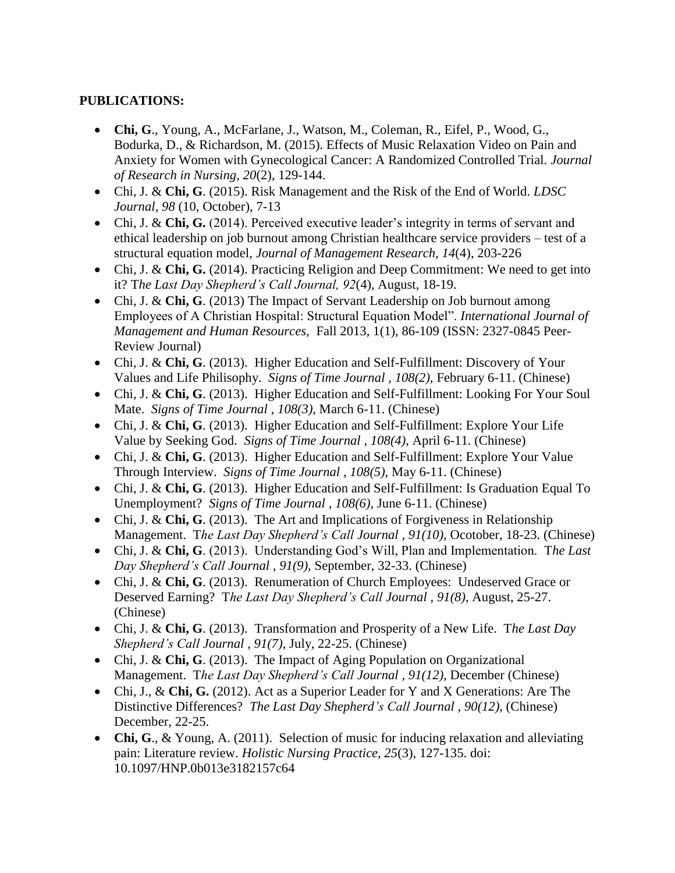## **PUBLICATIONS:**

- **Chi, G**., Young, A., McFarlane, J., Watson, M., Coleman, R., Eifel, P., Wood, G., Bodurka, D., & Richardson, M. (2015). Effects of Music Relaxation Video on Pain and Anxiety for Women with Gynecological Cancer: A Randomized Controlled Trial. *Journal of Research in Nursing, 20*(2), 129-144.
- Chi, J*.* & **Chi, G**. (2015). Risk Management and the Risk of the End of World. *LDSC Journal, 98* (10, October), 7-13
- Chi, J. & **Chi, G.** (2014). Perceived executive leader's integrity in terms of servant and ethical leadership on job burnout among Christian healthcare service providers – test of a structural equation model, *Journal of Management Research, 14*(4), 203-226
- Chi, J. & **Chi, G.** (2014). Practicing Religion and Deep Commitment: We need to get into it? T*he Last Day Shepherd's Call Journal, 92*(4), August, 18-19.
- Chi, J. & **Chi, G**. (2013) The Impact of Servant Leadership on Job burnout among Employees of A Christian Hospital: Structural Equation Model". *International Journal of Management and Human Resources,* Fall 2013, 1(1), 86-109 (ISSN: 2327-0845 Peer-Review Journal)
- Chi, J. & **Chi, G**. (2013). Higher Education and Self-Fulfillment: Discovery of Your Values and Life Philisophy. *Signs of Time Journal , 108(2)*, February 6-11. (Chinese)
- Chi, J. & **Chi, G**. (2013). Higher Education and Self-Fulfillment: Looking For Your Soul Mate. *Signs of Time Journal , 108(3)*, March 6-11. (Chinese)
- Chi, J. & **Chi, G**. (2013). Higher Education and Self-Fulfillment: Explore Your Life Value by Seeking God. *Signs of Time Journal , 108(4)*, April 6-11. (Chinese)
- Chi, J. & **Chi, G**. (2013). Higher Education and Self-Fulfillment: Explore Your Value Through Interview. *Signs of Time Journal , 108(5)*, May 6-11. (Chinese)
- Chi, J. & **Chi, G**. (2013). Higher Education and Self-Fulfillment: Is Graduation Equal To Unemployment? *Signs of Time Journal , 108(6)*, June 6-11. (Chinese)
- Chi, J. & **Chi, G**. (2013). The Art and Implications of Forgiveness in Relationship Management. T*he Last Day Shepherd's Call Journal , 91(10)*, Ocotober, 18-23. (Chinese)
- Chi, J. & **Chi, G**. (2013). Understanding God's Will, Plan and Implementation. T*he Last Day Shepherd's Call Journal , 91(9)*, September, 32-33. (Chinese)
- Chi, J. & **Chi, G**. (2013). Renumeration of Church Employees: Undeserved Grace or Deserved Earning? T*he Last Day Shepherd's Call Journal , 91(8)*, August, 25-27. (Chinese)
- Chi, J. & **Chi, G**. (2013). Transformation and Prosperity of a New Life. T*he Last Day Shepherd's Call Journal , 91(7)*, July, 22-25. (Chinese)
- Chi, J. & **Chi, G**. (2013). The Impact of Aging Population on Organizational Management. T*he Last Day Shepherd's Call Journal , 91(12)*, December (Chinese)
- Chi, J., & **Chi, G.** (2012). Act as a Superior Leader for Y and X Generations: Are The Distinctive Differences? *The Last Day Shepherd's Call Journal , 90(12)*, (Chinese) December, 22-25.
- Chi, G., & Young, A. (2011). Selection of music for inducing relaxation and alleviating pain: Literature review. *Holistic Nursing Practice, 25*(3), 127-135. doi: 10.1097/HNP.0b013e3182157c64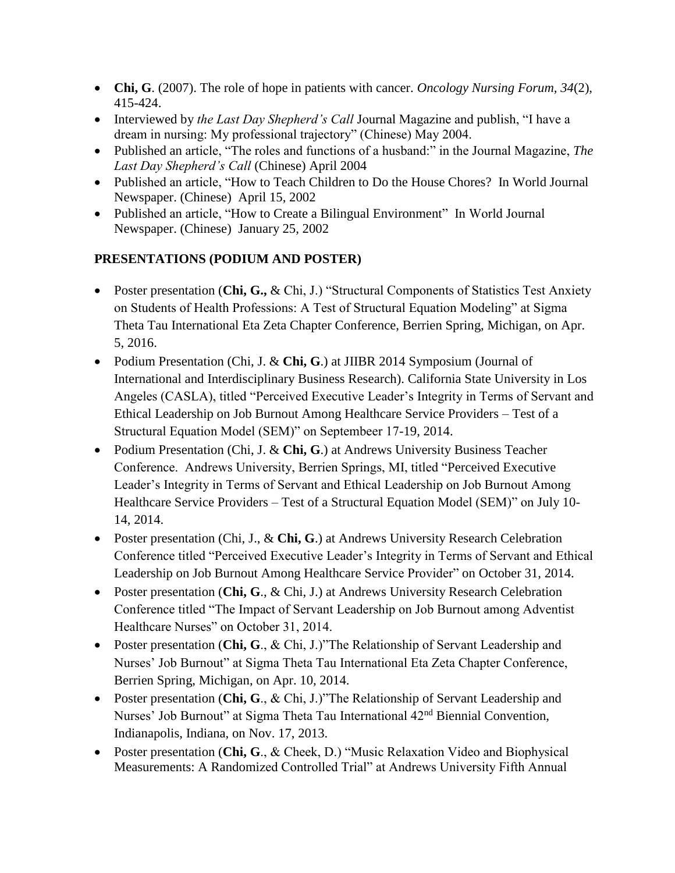- **Chi, G**. (2007). The role of hope in patients with cancer. *Oncology Nursing Forum, 34*(2), 415-424.
- Interviewed by *the Last Day Shepherd's Call* Journal Magazine and publish, "I have a dream in nursing: My professional trajectory" (Chinese) May 2004.
- Published an article, "The roles and functions of a husband:" in the Journal Magazine, *The Last Day Shepherd's Call* (Chinese) April 2004
- Published an article, "How to Teach Children to Do the House Chores? In World Journal Newspaper. (Chinese) April 15, 2002
- Published an article, "How to Create a Bilingual Environment" In World Journal Newspaper. (Chinese) January 25, 2002

## **PRESENTATIONS (PODIUM AND POSTER)**

- Poster presentation (**Chi, G.,** & Chi, J.) "Structural Components of Statistics Test Anxiety on Students of Health Professions: A Test of Structural Equation Modeling" at Sigma Theta Tau International Eta Zeta Chapter Conference, Berrien Spring, Michigan, on Apr. 5, 2016.
- Podium Presentation (Chi, J. & Chi, G.) at JIIBR 2014 Symposium (Journal of International and Interdisciplinary Business Research). California State University in Los Angeles (CASLA), titled "Perceived Executive Leader's Integrity in Terms of Servant and Ethical Leadership on Job Burnout Among Healthcare Service Providers – Test of a Structural Equation Model (SEM)" on Septembeer 17-19, 2014.
- Podium Presentation (Chi, J. & **Chi, G**.) at Andrews University Business Teacher Conference. Andrews University, Berrien Springs, MI, titled "Perceived Executive Leader's Integrity in Terms of Servant and Ethical Leadership on Job Burnout Among Healthcare Service Providers – Test of a Structural Equation Model (SEM)" on July 10- 14, 2014.
- Poster presentation (Chi, J., & **Chi, G**.) at Andrews University Research Celebration Conference titled "Perceived Executive Leader's Integrity in Terms of Servant and Ethical Leadership on Job Burnout Among Healthcare Service Provider" on October 31, 2014.
- Poster presentation (**Chi, G**., & Chi, J.) at Andrews University Research Celebration Conference titled "The Impact of Servant Leadership on Job Burnout among Adventist Healthcare Nurses" on October 31, 2014.
- Poster presentation (**Chi, G**., & Chi, J.)"The Relationship of Servant Leadership and Nurses' Job Burnout" at Sigma Theta Tau International Eta Zeta Chapter Conference, Berrien Spring, Michigan, on Apr. 10, 2014.
- Poster presentation (**Chi, G**., & Chi, J.)"The Relationship of Servant Leadership and Nurses' Job Burnout" at Sigma Theta Tau International 42<sup>nd</sup> Biennial Convention, Indianapolis, Indiana, on Nov. 17, 2013.
- Poster presentation (**Chi, G**., & Cheek, D.) "Music Relaxation Video and Biophysical Measurements: A Randomized Controlled Trial" at Andrews University Fifth Annual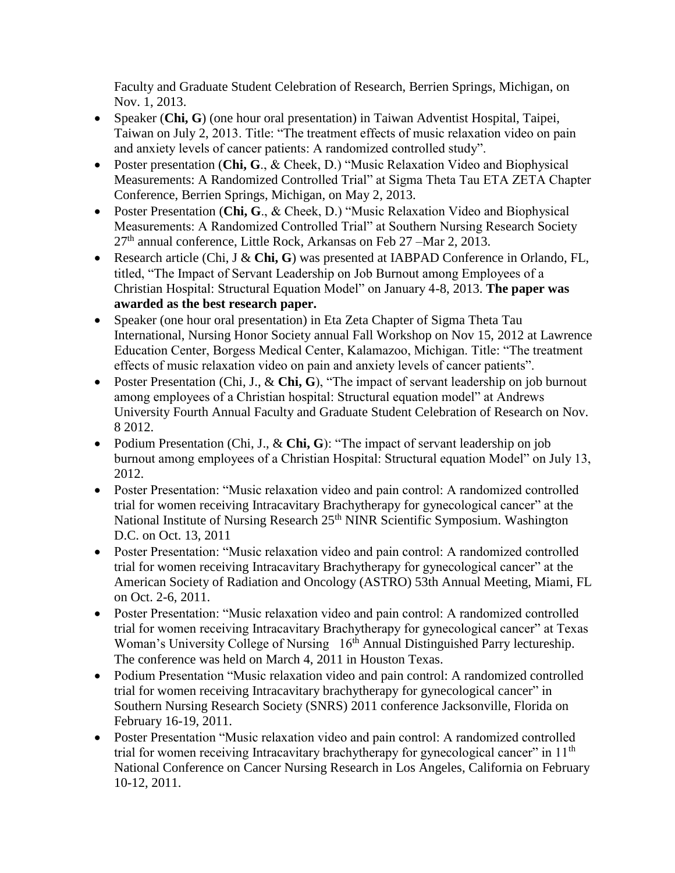Faculty and Graduate Student Celebration of Research, Berrien Springs, Michigan, on Nov. 1, 2013.

- Speaker (**Chi, G**) (one hour oral presentation) in Taiwan Adventist Hospital, Taipei, Taiwan on July 2, 2013. Title: "The treatment effects of music relaxation video on pain and anxiety levels of cancer patients: A randomized controlled study".
- Poster presentation (**Chi, G**., & Cheek, D.) "Music Relaxation Video and Biophysical Measurements: A Randomized Controlled Trial" at Sigma Theta Tau ETA ZETA Chapter Conference, Berrien Springs, Michigan, on May 2, 2013.
- Poster Presentation (**Chi, G**., & Cheek, D.) "Music Relaxation Video and Biophysical Measurements: A Randomized Controlled Trial" at Southern Nursing Research Society  $27<sup>th</sup>$  annual conference, Little Rock, Arkansas on Feb 27 – Mar 2, 2013.
- Research article (Chi, J & **Chi, G**) was presented at IABPAD Conference in Orlando, FL, titled, "The Impact of Servant Leadership on Job Burnout among Employees of a Christian Hospital: Structural Equation Model" on January 4-8, 2013. **The paper was awarded as the best research paper.**
- Speaker (one hour oral presentation) in Eta Zeta Chapter of Sigma Theta Tau International, Nursing Honor Society annual Fall Workshop on Nov 15, 2012 at Lawrence Education Center, Borgess Medical Center, Kalamazoo, Michigan. Title: "The treatment effects of music relaxation video on pain and anxiety levels of cancer patients".
- Poster Presentation (Chi, J., & **Chi, G**), "The impact of servant leadership on job burnout among employees of a Christian hospital: Structural equation model" at Andrews University Fourth Annual Faculty and Graduate Student Celebration of Research on Nov. 8 2012.
- Podium Presentation (Chi, J., & Chi, G): "The impact of servant leadership on job burnout among employees of a Christian Hospital: Structural equation Model" on July 13, 2012.
- Poster Presentation: "Music relaxation video and pain control: A randomized controlled trial for women receiving Intracavitary Brachytherapy for gynecological cancer" at the National Institute of Nursing Research 25<sup>th</sup> NINR Scientific Symposium. Washington D.C. on Oct. 13, 2011
- Poster Presentation: "Music relaxation video and pain control: A randomized controlled trial for women receiving Intracavitary Brachytherapy for gynecological cancer" at the American Society of Radiation and Oncology (ASTRO) 53th Annual Meeting, Miami, FL on Oct. 2-6, 2011.
- Poster Presentation: "Music relaxation video and pain control: A randomized controlled trial for women receiving Intracavitary Brachytherapy for gynecological cancer" at Texas Woman's University College of Nursing 16<sup>th</sup> Annual Distinguished Parry lectureship. The conference was held on March 4, 2011 in Houston Texas.
- Podium Presentation "Music relaxation video and pain control: A randomized controlled trial for women receiving Intracavitary brachytherapy for gynecological cancer" in Southern Nursing Research Society (SNRS) 2011 conference Jacksonville, Florida on February 16-19, 2011.
- Poster Presentation "Music relaxation video and pain control: A randomized controlled trial for women receiving Intracavitary brachytherapy for gynecological cancer" in 11<sup>th</sup> National Conference on Cancer Nursing Research in Los Angeles, California on February 10-12, 2011.